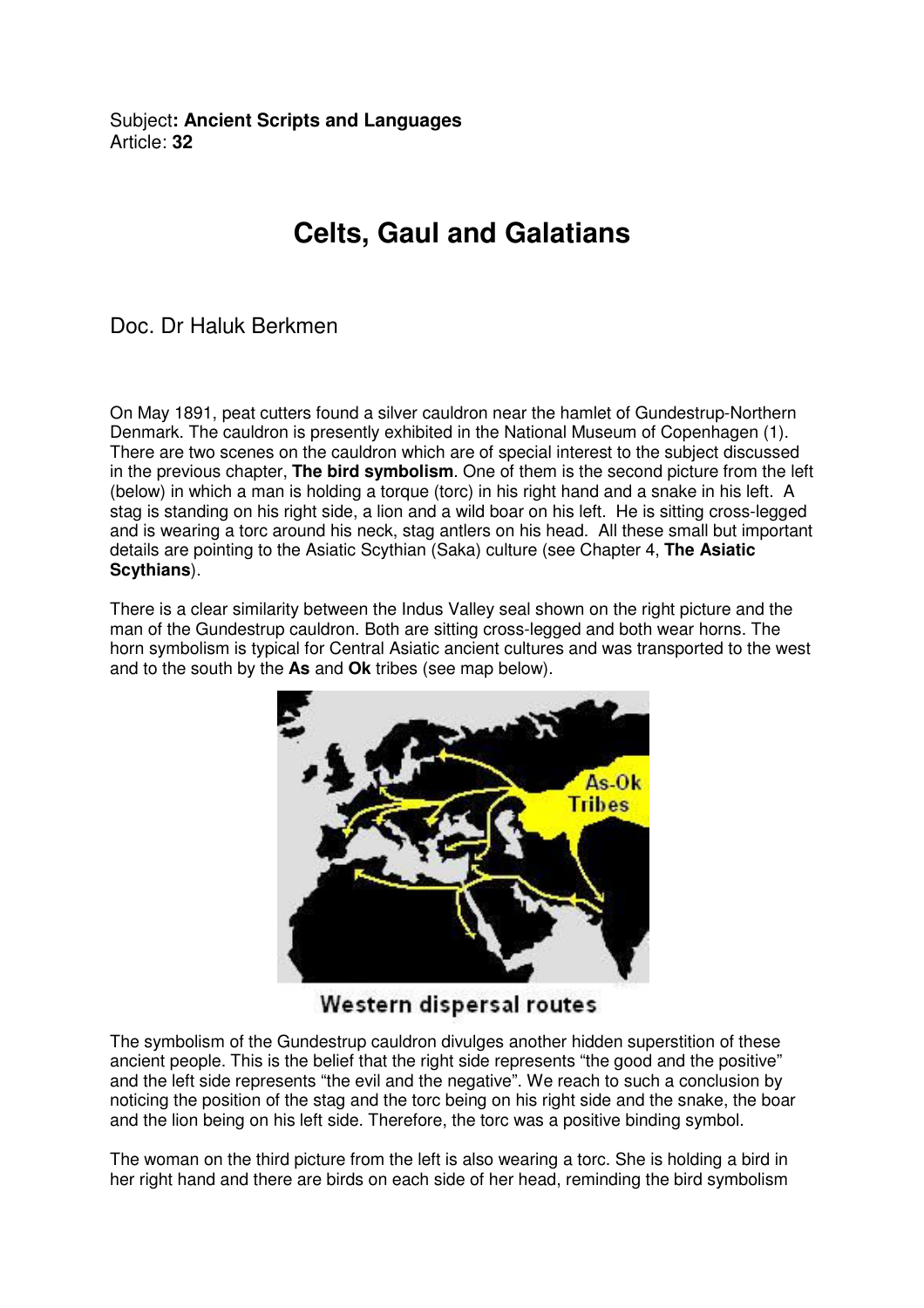Subject**: Ancient Scripts and Languages**  Article: **32**

## **Celts, Gaul and Galatians**

Doc. Dr Haluk Berkmen

On May 1891, peat cutters found a silver cauldron near the hamlet of Gundestrup-Northern Denmark. The cauldron is presently exhibited in the National Museum of Copenhagen (1). There are two scenes on the cauldron which are of special interest to the subject discussed in the previous chapter, **The bird symbolism**. One of them is the second picture from the left (below) in which a man is holding a torque (torc) in his right hand and a snake in his left. A stag is standing on his right side, a lion and a wild boar on his left. He is sitting cross-legged and is wearing a torc around his neck, stag antlers on his head. All these small but important details are pointing to the Asiatic Scythian (Saka) culture (see Chapter 4, **The Asiatic Scythians**).

There is a clear similarity between the Indus Valley seal shown on the right picture and the man of the Gundestrup cauldron. Both are sitting cross-legged and both wear horns. The horn symbolism is typical for Central Asiatic ancient cultures and was transported to the west and to the south by the **As** and **Ok** tribes (see map below).



Western dispersal routes

The symbolism of the Gundestrup cauldron divulges another hidden superstition of these ancient people. This is the belief that the right side represents "the good and the positive" and the left side represents "the evil and the negative". We reach to such a conclusion by noticing the position of the stag and the torc being on his right side and the snake, the boar and the lion being on his left side. Therefore, the torc was a positive binding symbol.

The woman on the third picture from the left is also wearing a torc. She is holding a bird in her right hand and there are birds on each side of her head, reminding the bird symbolism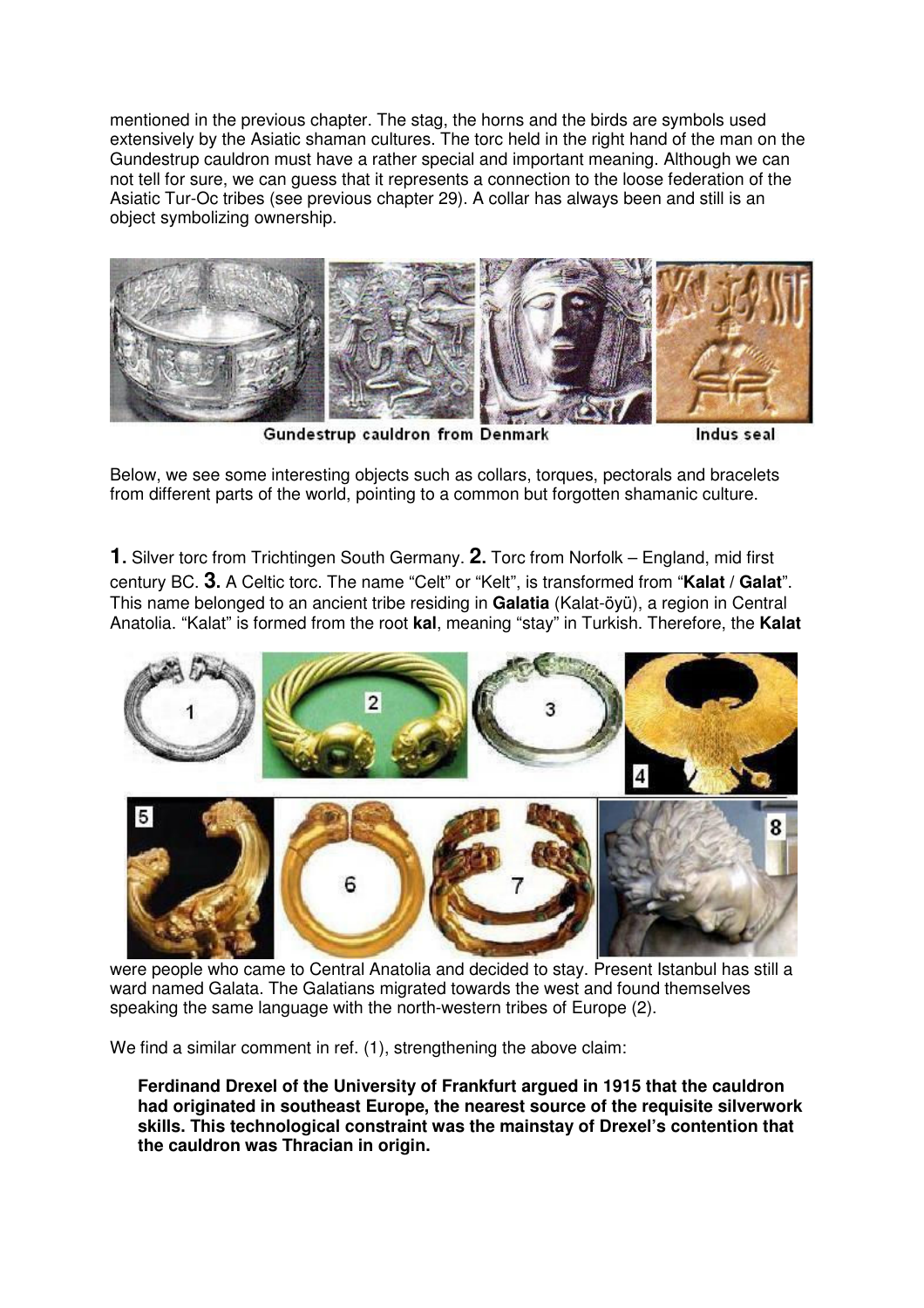mentioned in the previous chapter. The stag, the horns and the birds are symbols used extensively by the Asiatic shaman cultures. The torc held in the right hand of the man on the Gundestrup cauldron must have a rather special and important meaning. Although we can not tell for sure, we can guess that it represents a connection to the loose federation of the Asiatic Tur-Oc tribes (see previous chapter 29). A collar has always been and still is an object symbolizing ownership.



Gundestrup cauldron from Denmark

Indus seal

Below, we see some interesting objects such as collars, torques, pectorals and bracelets from different parts of the world, pointing to a common but forgotten shamanic culture.

**1.** Silver torc from Trichtingen South Germany. **2.** Torc from Norfolk – England, mid first century BC. **3.** A Celtic torc. The name "Celt" or "Kelt", is transformed from "**Kalat / Galat**". This name belonged to an ancient tribe residing in **Galatia** (Kalat-öyü), a region in Central Anatolia. "Kalat" is formed from the root **kal**, meaning "stay" in Turkish. Therefore, the **Kalat**



were people who came to Central Anatolia and decided to stay. Present Istanbul has still a ward named Galata. The Galatians migrated towards the west and found themselves speaking the same language with the north-western tribes of Europe (2).

We find a similar comment in ref. (1), strengthening the above claim:

**Ferdinand Drexel of the University of Frankfurt argued in 1915 that the cauldron had originated in southeast Europe, the nearest source of the requisite silverwork skills. This technological constraint was the mainstay of Drexel's contention that the cauldron was Thracian in origin.**